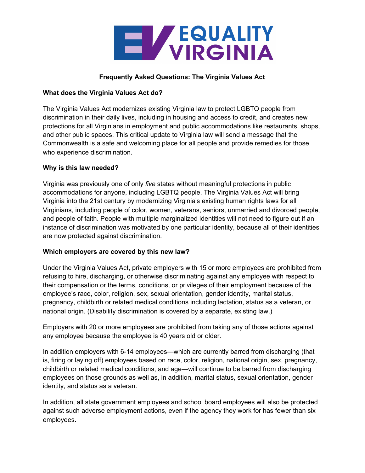

### **Frequently Asked Questions: The Virginia Values Act**

#### **What does the Virginia Values Act do?**

The Virginia Values Act modernizes existing Virginia law to protect LGBTQ people from discrimination in their daily lives, including in housing and access to credit, and creates new protections for all Virginians in employment and public accommodations like restaurants, shops, and other public spaces. This critical update to Virginia law will send a message that the Commonwealth is a safe and welcoming place for all people and provide remedies for those who experience discrimination.

### **Why is this law needed?**

Virginia was previously one of only *five* states without meaningful protections in public accommodations for anyone, including LGBTQ people. The Virginia Values Act will bring Virginia into the 21st century by modernizing Virginia's existing human rights laws for all Virginians, including people of color, women, veterans, seniors, unmarried and divorced people, and people of faith. People with multiple marginalized identities will not need to figure out if an instance of discrimination was motivated by one particular identity, because all of their identities are now protected against discrimination.

#### **Which employers are covered by this new law?**

Under the Virginia Values Act, private employers with 15 or more employees are prohibited from refusing to hire, discharging, or otherwise discriminating against any employee with respect to their compensation or the terms, conditions, or privileges of their employment because of the employee's race, color, religion, sex, sexual orientation, gender identity, marital status, pregnancy, childbirth or related medical conditions including lactation, status as a veteran, or national origin. (Disability discrimination is covered by a separate, existing law.)

Employers with 20 or more employees are prohibited from taking any of those actions against any employee because the employee is 40 years old or older.

In addition employers with 6-14 employees—which are currently barred from discharging (that is, firing or laying off) employees based on race, color, religion, national origin, sex, pregnancy, childbirth or related medical conditions, and age—will continue to be barred from discharging employees on those grounds as well as, in addition, marital status, sexual orientation, gender identity, and status as a veteran.

In addition, all state government employees and school board employees will also be protected against such adverse employment actions, even if the agency they work for has fewer than six employees.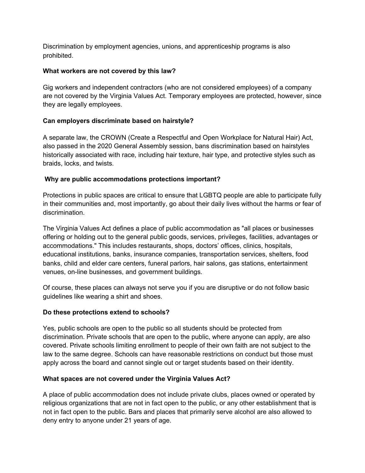Discrimination by employment agencies, unions, and apprenticeship programs is also prohibited.

## **What workers are not covered by this law?**

Gig workers and independent contractors (who are not considered employees) of a company are not covered by the Virginia Values Act. Temporary employees are protected, however, since they are legally employees.

## **Can employers discriminate based on hairstyle?**

A separate law, the CROWN (Create a Respectful and Open Workplace for Natural Hair) Act, also passed in the 2020 General Assembly session, bans discrimination based on hairstyles historically associated with race, including hair texture, hair type, and protective styles such as braids, locks, and twists.

### **Why are public accommodations protections important?**

Protections in public spaces are critical to ensure that LGBTQ people are able to participate fully in their communities and, most importantly, go about their daily lives without the harms or fear of discrimination.

The Virginia Values Act defines a place of public accommodation as "all places or businesses offering or holding out to the general public goods, services, privileges, facilities, advantages or accommodations." This includes restaurants, shops, doctors' offices, clinics, hospitals, educational institutions, banks, insurance companies, transportation services, shelters, food banks, child and elder care centers, funeral parlors, hair salons, gas stations, entertainment venues, on-line businesses, and government buildings.

Of course, these places can always not serve you if you are disruptive or do not follow basic guidelines like wearing a shirt and shoes.

## **Do these protections extend to schools?**

Yes, public schools are open to the public so all students should be protected from discrimination. Private schools that are open to the public, where anyone can apply, are also covered. Private schools limiting enrollment to people of their own faith are not subject to the law to the same degree. Schools can have reasonable restrictions on conduct but those must apply across the board and cannot single out or target students based on their identity.

#### **What spaces are not covered under the Virginia Values Act?**

A place of public accommodation does not include private clubs, places owned or operated by religious organizations that are not in fact open to the public, or any other establishment that is not in fact open to the public. Bars and places that primarily serve alcohol are also allowed to deny entry to anyone under 21 years of age.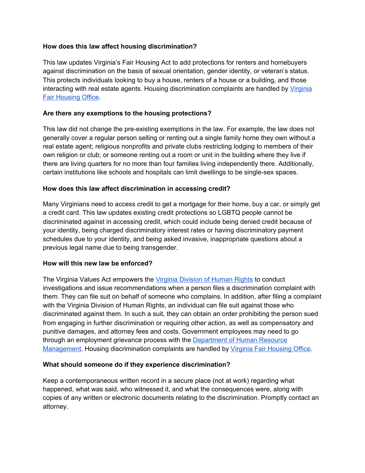### **How does this law affect housing discrimination?**

This law updates Virginia's Fair Housing Act to add protections for renters and homebuyers against discrimination on the basis of sexual orientation, gender identity, or veteran's status. This protects individuals looking to buy a house, renters of a house or a building, and those interacting with real estate agents. Housing discrimination complaints are handled by [Virginia](http://www.dpor.virginia.gov/FairHousing/) Fair [Housing](http://www.dpor.virginia.gov/FairHousing/) Office.

### **Are there any exemptions to the housing protections?**

This law did not change the pre-existing exemptions in the law. For example, the law does not generally cover a regular person selling or renting out a single family home they own without a real estate agent; religious nonprofits and private clubs restricting lodging to members of their own religion or club; or someone renting out a room or unit in the building where they live if there are living quarters for no more than four families living independently there. Additionally, certain institutions like schools and hospitals can limit dwellings to be single-sex spaces.

### **How does this law affect discrimination in accessing credit?**

Many Virginians need to access credit to get a mortgage for their home, buy a car, or simply get a credit card. This law updates existing credit protections so LGBTQ people cannot be discriminated against in accessing credit, which could include being denied credit because of your identity, being charged discriminatory interest rates or having discriminatory payment schedules due to your identity, and being asked invasive, inappropriate questions about a previous legal name due to being transgender.

#### **How will this new law be enforced?**

The Virginia Values Act empowers the Virginia [Division](https://www.oag.state.va.us/programs-initiatives/civil-rights) of Human Rights to conduct investigations and issue recommendations when a person files a discrimination complaint with them. They can file suit on behalf of someone who complains. In addition, after filing a complaint with the Virginia Division of Human Rights, an individual can file suit against those who discriminated against them. In such a suit, they can obtain an order prohibiting the person sued from engaging in further discrimination or requiring other action, as well as compensatory and punitive damages, and attorney fees and costs. Government employees may need to go through an employment grievance process with the **[Department](https://www.dhrm.virginia.gov/forms) of Human Resource** [Management](https://www.dhrm.virginia.gov/forms). Housing discrimination complaints are handled by Virginia Fair [Housing](http://www.dpor.virginia.gov/FairHousing/) Office.

## **What should someone do if they experience discrimination?**

Keep a contemporaneous written record in a secure place (not at work) regarding what happened, what was said, who witnessed it, and what the consequences were, along with copies of any written or electronic documents relating to the discrimination. Promptly contact an attorney.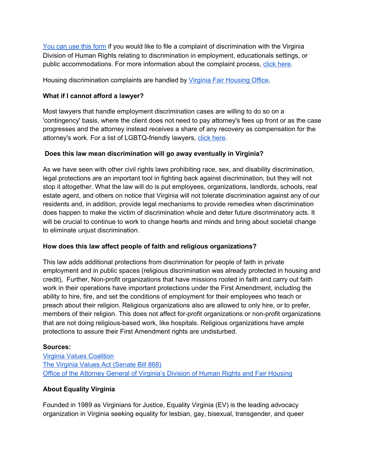You can use this [form](https://www.oag.state.va.us/files/OCR/OCR-COMPLAINT-FORM-2021-01-20-fillable.pdf) if you would like to file a complaint of discrimination with the Virginia Division of Human Rights relating to discrimination in employment, educationals settings, or public accommodations. For more information about the complaint process, click [here](https://www.oag.state.va.us/files/OCR/OCR_COMPLAINT_PROCESS.pdf).

Housing discrimination complaints are handled by Virginia Fair [Housing](http://www.dpor.virginia.gov/FairHousing/) Office.

# **What if I cannot afford a lawyer?**

Most lawyers that handle employment discrimination cases are willing to do so on a 'contingency' basis, where the client does not need to pay attorney's fees up front or as the case progresses and the attorney instead receives a share of any recovery as compensation for the attorney's work. For a list of LGBTQ-friendly lawyers[,](https://www.equalityvirginia.org/resources/legal-resources/) click [here](https://www.equalityvirginia.org/resources/legal-resources/).

# **Does this law mean discrimination will go away eventually in Virginia?**

As we have seen with other civil rights laws prohibiting race, sex, and disability discrimination, legal protections are an important tool in fighting back against discrimination, but they will not stop it altogether. What the law will do is put employees, organizations, landlords, schools, real estate agent, and others on notice that Virginia will not tolerate discrimination against any of our residents and, in addition, provide legal mechanisms to provide remedies when discrimination does happen to make the victim of discrimination whole and deter future discriminatory acts. It will be crucial to continue to work to change hearts and minds and bring about societal change to eliminate unjust discrimination.

## **How does this law affect people of faith and religious organizations?**

This law adds additional protections from discrimination for people of faith in private employment and in public spaces (religious discrimination was already protected in housing and credit), Further, Non-profit organizations that have missions rooted in faith and carry out faith work in their operations have important protections under the First Amendment, including the ability to hire, fire, and set the conditions of employment for their employees who teach or preach about their religion. Religious organizations also are allowed to only hire, or to prefer, members of their religion. This does not affect for-profit organizations or non-profit organizations that are not doing religious-based work, like hospitals. Religious organizations have ample protections to assure their First Amendment rights are undisturbed.

## **Sources:**

Virginia Values [Coalition](https://vavalues.org/) The Virginia Values Act [\(Senate](https://lis.virginia.gov/cgi-bin/legp604.exe?201+ful+CHAP1140) Bill 868) Office of the Attorney General of [Virginia's](https://www.oag.state.va.us/divisions/civil-litigation/division-of-human-rights-and-fair-housing) Division of Human Rights and Fair Housing

# **About Equality Virginia**

Founded in 1989 as Virginians for Justice, Equality Virginia (EV) is the leading advocacy organization in Virginia seeking equality for lesbian, gay, bisexual, transgender, and queer